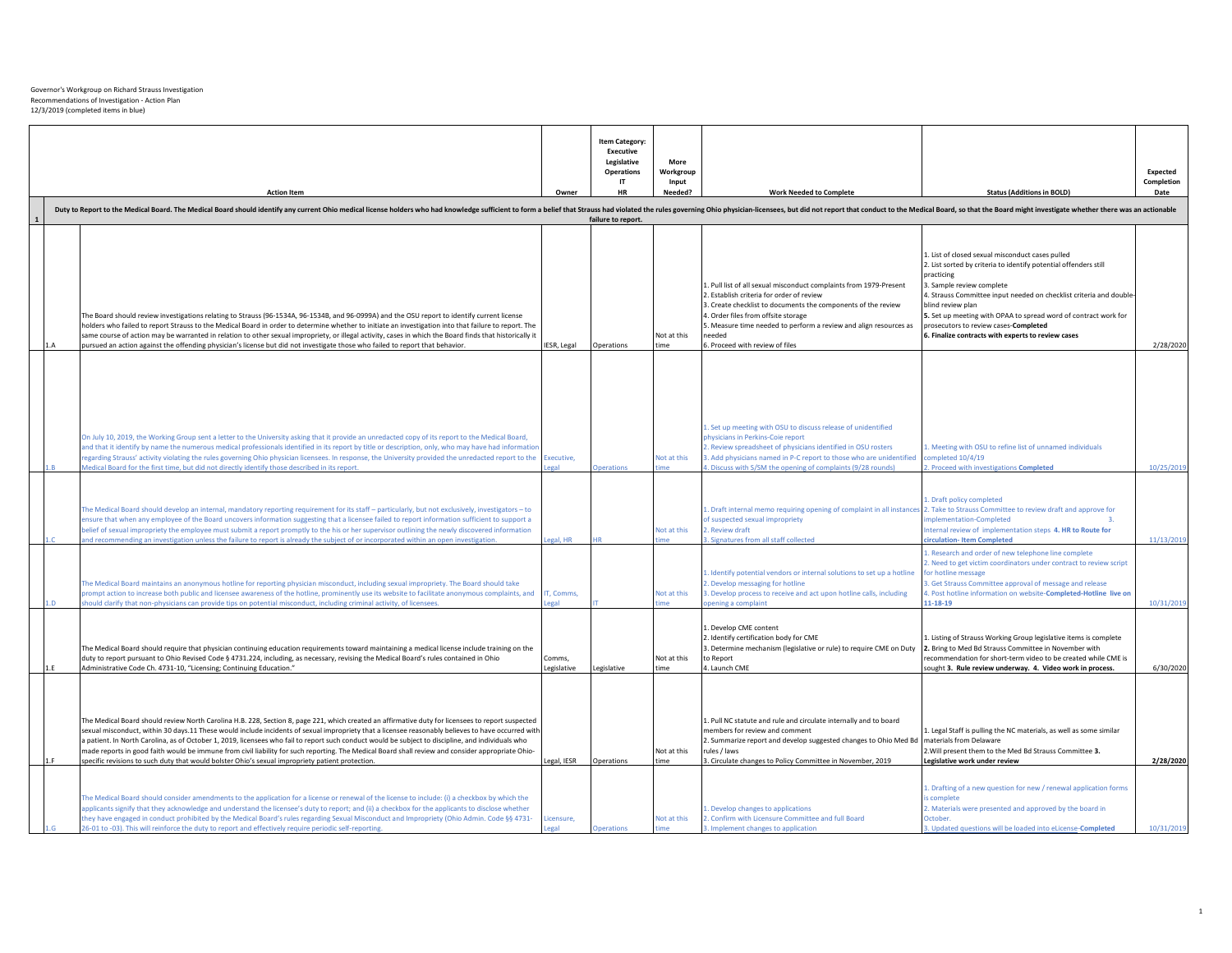|  |                                                                                                                                                                                                                                                                                                                                                                                                                                                                                                                                                                                                                                                                                                                        |                      | Item Category:<br><b>Executive</b><br>Legislative | More               |                                                                                                                                                                                                                                                                                                                                          |                                                                                                                                                                                                                                                                                                                                                                                                                              |                        |
|--|------------------------------------------------------------------------------------------------------------------------------------------------------------------------------------------------------------------------------------------------------------------------------------------------------------------------------------------------------------------------------------------------------------------------------------------------------------------------------------------------------------------------------------------------------------------------------------------------------------------------------------------------------------------------------------------------------------------------|----------------------|---------------------------------------------------|--------------------|------------------------------------------------------------------------------------------------------------------------------------------------------------------------------------------------------------------------------------------------------------------------------------------------------------------------------------------|------------------------------------------------------------------------------------------------------------------------------------------------------------------------------------------------------------------------------------------------------------------------------------------------------------------------------------------------------------------------------------------------------------------------------|------------------------|
|  |                                                                                                                                                                                                                                                                                                                                                                                                                                                                                                                                                                                                                                                                                                                        |                      | <b>Operations</b><br>IT                           | Workgroup<br>Input |                                                                                                                                                                                                                                                                                                                                          |                                                                                                                                                                                                                                                                                                                                                                                                                              | Expected<br>Completion |
|  | <b>Action Item</b>                                                                                                                                                                                                                                                                                                                                                                                                                                                                                                                                                                                                                                                                                                     | Owner                | HR                                                | Needed?            | <b>Work Needed to Complete</b>                                                                                                                                                                                                                                                                                                           | <b>Status (Additions in BOLD)</b>                                                                                                                                                                                                                                                                                                                                                                                            | Date                   |
|  | Duty to Report to the Medical Board. The Medical Board should identify any current Ohio medical license holders who had knowledge sufficient to form a belief that Strauss had violated the rules governing Ohio physician-lic                                                                                                                                                                                                                                                                                                                                                                                                                                                                                         |                      | failure to report.                                |                    |                                                                                                                                                                                                                                                                                                                                          |                                                                                                                                                                                                                                                                                                                                                                                                                              |                        |
|  | The Board should review investigations relating to Strauss (96-1534A, 96-1534B, and 96-0999A) and the OSU report to identify current license<br>holders who failed to report Strauss to the Medical Board in order to determine whether to initiate an investigation into that failure to report. The<br>same course of action may be warranted in relation to other sexual impropriety, or illegal activity, cases in which the Board finds that historically it<br>pursued an action against the offending physician's license but did not investigate those who failed to report that behavior.                                                                                                                     | IESR, Legal          | Operations                                        | Not at this        | 1. Pull list of all sexual misconduct complaints from 1979-Present<br>2. Establish criteria for order of review<br>3. Create checklist to documents the components of the review<br>4. Order files from offsite storage<br>5. Measure time needed to perform a review and align resources as<br>needed<br>. Proceed with review of files | L. List of closed sexual misconduct cases pulled<br>2. List sorted by criteria to identify potential offenders still<br>practicing<br>3. Sample review complete<br>4. Strauss Committee input needed on checklist criteria and double<br>blind review plan<br>5. Set up meeting with OPAA to spread word of contract work for<br>prosecutors to review cases-Completed<br>6. Finalize contracts with experts to review cases | 2/28/2020              |
|  | On July 10, 2019, the Working Group sent a letter to the University asking that it provide an unredacted copy of its report to the Medical Board,<br>and that it identify by name the numerous medical professionals identified in its report by title or description, only, who may have had information<br>regarding Strauss' activity violating the rules governing Ohio physician licensees. In response, the University provided the unredacted report to the Executive,<br>Aedical Board for the first time, but did not directly identify those described in its report.                                                                                                                                        |                      | <b>Ineration</b>                                  | Not at this        | 1. Set up meeting with OSU to discuss release of unidentified<br>physicians in Perkins-Coie report<br>2. Review spreadsheet of physicians identified in OSU rosters<br>3. Add physicians named in P-C report to those who are unidentified<br>Discuss with S/SM the opening of complaints (9/28 rounds)                                  | . Meeting with OSU to refine list of unnamed individuals<br>ompleted 10/4/19<br>. Proceed with investigations Completed                                                                                                                                                                                                                                                                                                      | 10/25/201              |
|  | The Medical Board should develop an internal, mandatory reporting requirement for its staff - particularly, but not exclusively, investigators - to<br>ensure that when any employee of the Board uncovers information suggesting that a licensee failed to report information sufficient to support a<br>elief of sexual impropriety the employee must submit a report promptly to the his or her supervisor outlining the newly discovered information<br>of recommending an investigation unless the failure to report is already the subject of or incorporated within an open investigation                                                                                                                       | eal. HR              |                                                   | Not at this        | 1. Draft internal memo requiring opening of complaint in all instances 2. Take to Strauss Committee to review draft and approve for<br>of suspected sexual impropriety<br>2. Review draft<br>Signatures from all staff collected                                                                                                         | L. Draft policy completed<br>mplementation-Completed<br>nternal review of implementation steps 4. HR to Route for<br>rculation-Item Completed                                                                                                                                                                                                                                                                                | 11/13/2019             |
|  | The Medical Board maintains an anonymous hotline for reporting physician misconduct, including sexual impropriety. The Board should take<br>prompt action to increase both public and licensee awareness of the hotline, prominently use its website to facilitate anonymous complaints, and<br>thould clarify that non-physicians can provide tips on potential misconduct, including criminal activity, of licensees.                                                                                                                                                                                                                                                                                                | IT, Comms,<br>agal   |                                                   | Not at this        | . Identify potential vendors or internal solutions to set up a hotline<br>2. Develop messaging for hotline<br>3. Develop process to receive and act upon hotline calls, including<br>pening a complaint                                                                                                                                  | Research and order of new telephone line complete<br>. Need to get victim coordinators under contract to review script<br>for hotline message<br>Get Strauss Committee approval of message and release<br>1. Post hotline information on website-Completed-Hotline live on<br>11-18-19                                                                                                                                       | 10/31/2019             |
|  | The Medical Board should require that physician continuing education requirements toward maintaining a medical license include training on the<br>duty to report pursuant to Ohio Revised Code § 4731.224, including, as necessary, revising the Medical Board's rules contained in Ohio<br>Administrative Code Ch. 4731-10, "Licensing; Continuing Education."                                                                                                                                                                                                                                                                                                                                                        | Comms.<br>egislative | Legislative                                       | Not at this        | 1. Develop CME content<br>2. Identify certification body for CME<br>3. Determine mechanism (legislative or rule) to require CME on Duty<br>to Report<br>4. Launch CME                                                                                                                                                                    | L. Listing of Strauss Working Group legislative items is complete<br>2. Bring to Med Bd Strauss Committee in November with<br>recommendation for short-term video to be created while CME is<br>ought 3. Rule review underway. 4. Video work in process.                                                                                                                                                                     | 6/30/2020              |
|  | The Medical Board should review North Carolina H.B. 228, Section 8, page 221, which created an affirmative duty for licensees to report suspected<br>sexual misconduct, within 30 days.11 These would include incidents of sexual impropriety that a licensee reasonably believes to have occurred with<br>a patient. In North Carolina, as of October 1, 2019, licensees who fail to report such conduct would be subject to discipline, and individuals who<br>made reports in good faith would be immune from civil liability for such reporting. The Medical Board shall review and consider appropriate Ohio-<br>specific revisions to such duty that would bolster Ohio's sexual impropriety patient protection. | Legal, IESR          | Operations                                        | Not at this<br>ime | 1. Pull NC statute and rule and circulate internally and to board<br>members for review and comment<br>2. Summarize report and develop suggested changes to Ohio Med Bd<br>rules / laws<br>3. Circulate changes to Policy Committee in November, 2019                                                                                    | L. Legal Staff is pulling the NC materials, as well as some similar<br>materials from Delaware<br>2. Will present them to the Med Bd Strauss Committee 3.<br>Legislative work under review                                                                                                                                                                                                                                   | 2/28/2020              |
|  | The Medical Board should consider amendments to the application for a license or renewal of the license to include: (i) a checkbox by which the<br>applicants signify that they acknowledge and understand the licensee's duty to report; and (ii) a checkbox for the applicants to disclose whether<br>they have engaged in conduct prohibited by the Medical Board's rules regarding Sexual Misconduct and Impropriety (Ohio Admin. Code §§ 4731-<br>26-01 to -03). This will reinforce the duty to report and effectively require periodic self-reporting.                                                                                                                                                          | Licensure.<br>leoa   | <b>Onerations</b>                                 | Not at this        | 1. Develop changes to applications<br>2. Confirm with Licensure Committee and full Board<br>3. Implement changes to application                                                                                                                                                                                                          | L. Drafting of a new question for new / renewal application forms<br>s complete<br>Materials were presented and approved by the board in<br>October.<br>Updated questions will be loaded into eLicense-Completed                                                                                                                                                                                                             | 10/31/2019             |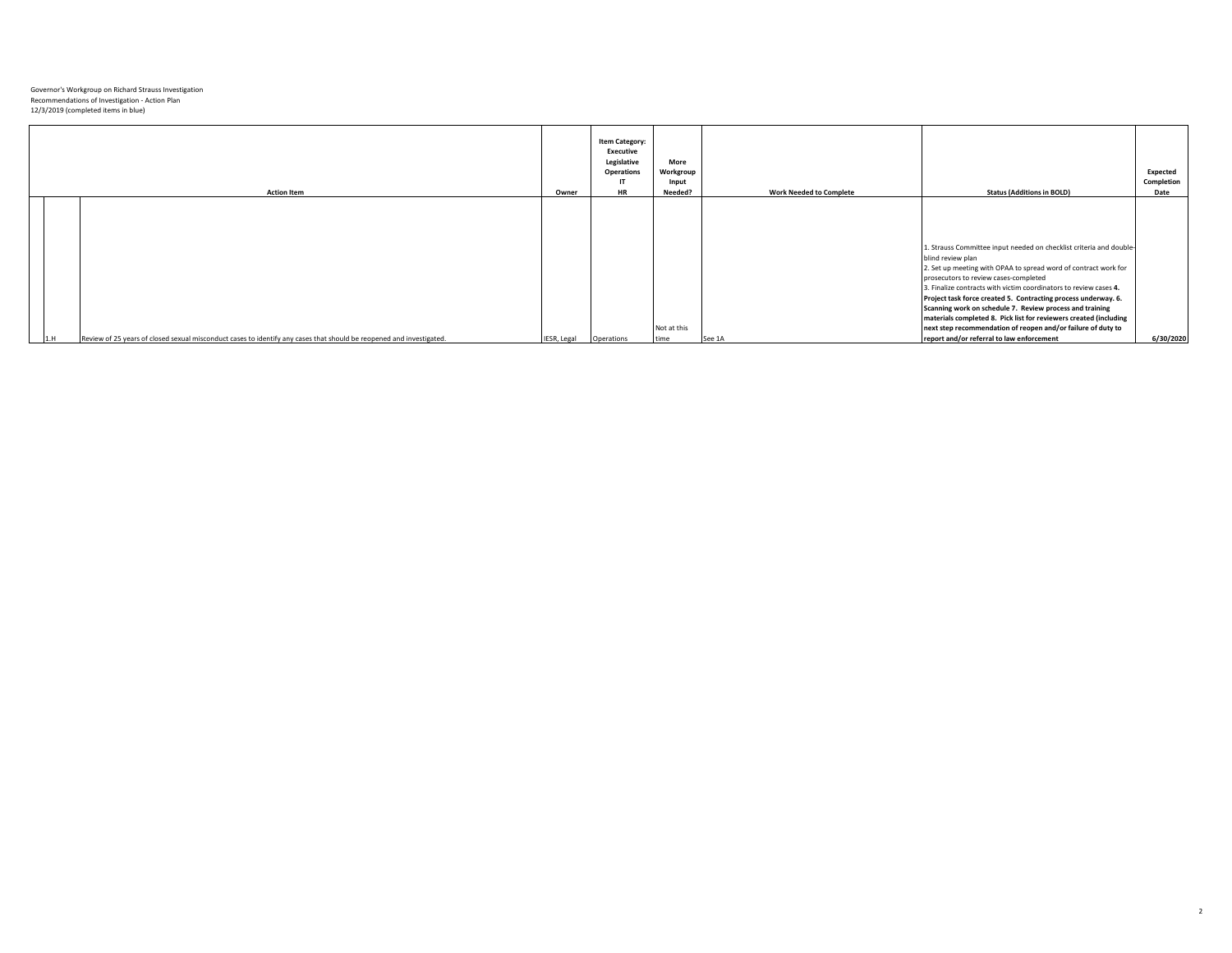|     | <b>Action Item</b>                                                                                                   | Owner                  | <b>Item Category:</b><br>Executive<br>Legislative<br><b>Operations</b><br>IT<br><b>HR</b> | More<br>Workgroup<br>Input<br>Needed? | <b>Work Needed to Complete</b> | <b>Status (Additions in BOLD)</b>                                                                                                                                                                                                                                                                                                                                                                                                                                                                                                                                                         | <b>Expected</b><br>Completion<br>Date |
|-----|----------------------------------------------------------------------------------------------------------------------|------------------------|-------------------------------------------------------------------------------------------|---------------------------------------|--------------------------------|-------------------------------------------------------------------------------------------------------------------------------------------------------------------------------------------------------------------------------------------------------------------------------------------------------------------------------------------------------------------------------------------------------------------------------------------------------------------------------------------------------------------------------------------------------------------------------------------|---------------------------------------|
| 1.H | Review of 25 years of closed sexual misconduct cases to identify any cases that should be reopened and investigated. | IESR, Legal Operations |                                                                                           | Not at this<br>time                   | See 1A                         | 1. Strauss Committee input needed on checklist criteria and double-<br>blind review plan<br>2. Set up meeting with OPAA to spread word of contract work for<br>prosecutors to review cases-completed<br>3. Finalize contracts with victim coordinators to review cases 4.<br>Project task force created 5. Contracting process underway. 6.<br>Scanning work on schedule 7. Review process and training<br>materials completed 8. Pick list for reviewers created (including<br>next step recommendation of reopen and/or failure of duty to<br>report and/or referral to law enforcement | 6/30/2020                             |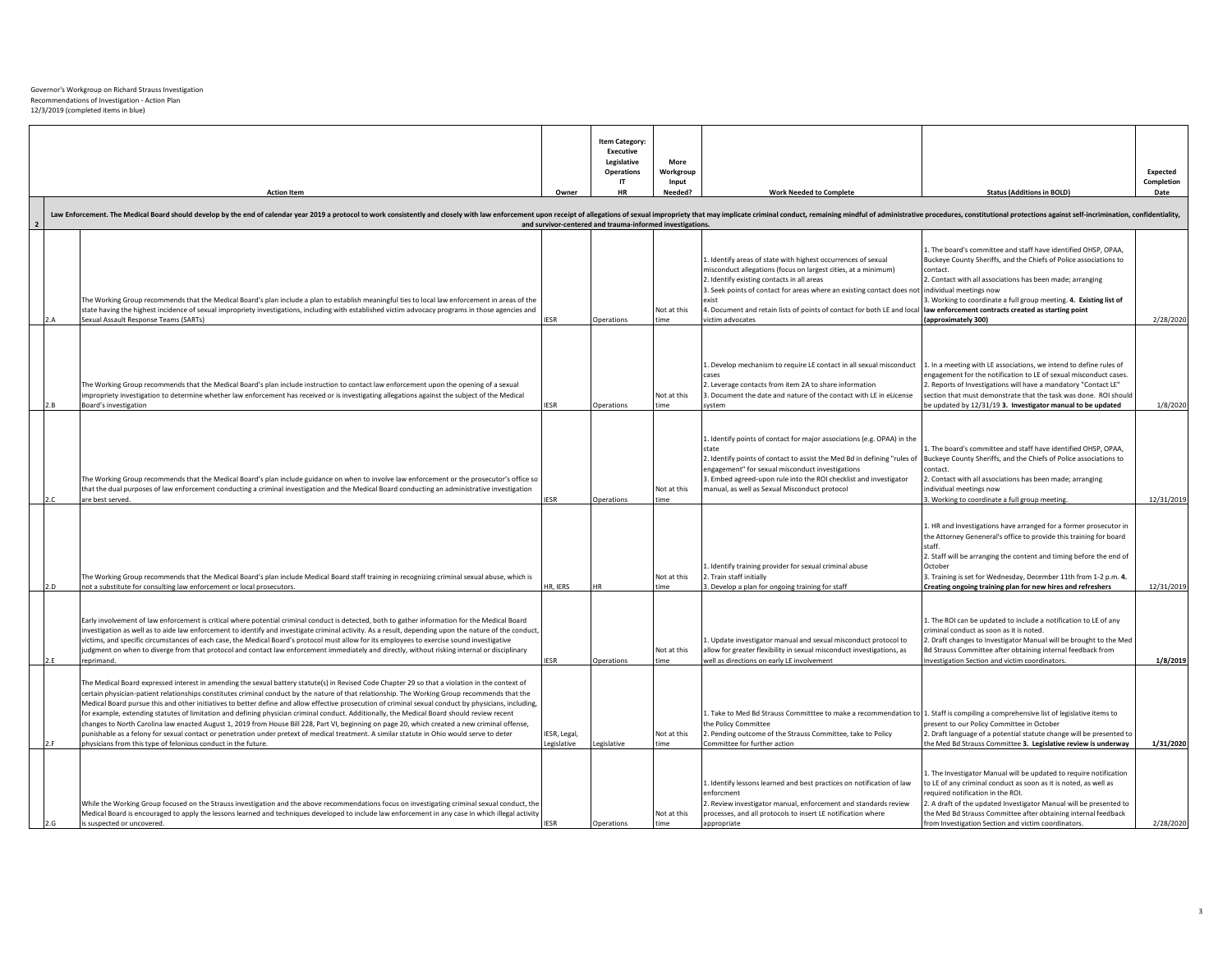|  |                                                                                                                                                                                                                                                                                                                                                                                                                                                                                                                                                                                                                                                                                                                                                                                                                                                                                                                                                                             |                            | <b>Item Category:</b><br><b>Executive</b><br>Legislative<br><b>Operations</b><br>IT | More<br>Workgroup<br>Input |                                                                                                                                                                                                                                                                                                                                                             |                                                                                                                                                                                                                                                                                                                                                                                           | Expected<br>Completion |
|--|-----------------------------------------------------------------------------------------------------------------------------------------------------------------------------------------------------------------------------------------------------------------------------------------------------------------------------------------------------------------------------------------------------------------------------------------------------------------------------------------------------------------------------------------------------------------------------------------------------------------------------------------------------------------------------------------------------------------------------------------------------------------------------------------------------------------------------------------------------------------------------------------------------------------------------------------------------------------------------|----------------------------|-------------------------------------------------------------------------------------|----------------------------|-------------------------------------------------------------------------------------------------------------------------------------------------------------------------------------------------------------------------------------------------------------------------------------------------------------------------------------------------------------|-------------------------------------------------------------------------------------------------------------------------------------------------------------------------------------------------------------------------------------------------------------------------------------------------------------------------------------------------------------------------------------------|------------------------|
|  | <b>Action Item</b><br>Law Enforcement. The Medical Board should develop by the end of calendar year 2019 a protocol to work consistently and closely with law enforcement upon receipt of allegations of sexual impropriety that may implicate crimi                                                                                                                                                                                                                                                                                                                                                                                                                                                                                                                                                                                                                                                                                                                        | Owner                      | <b>HR</b><br>and survivor-centered and trauma-informed investigations.              | Needed?                    | <b>Work Needed to Complete</b>                                                                                                                                                                                                                                                                                                                              | <b>Status (Additions in BOLD)</b>                                                                                                                                                                                                                                                                                                                                                         | Date                   |
|  | The Working Group recommends that the Medical Board's plan include a plan to establish meaningful ties to local law enforcement in areas of the<br>state having the highest incidence of sexual impropriety investigations, including with established victim advocacy programs in those agencies and<br>Sexual Assault Response Teams (SARTs)                                                                                                                                                                                                                                                                                                                                                                                                                                                                                                                                                                                                                              | FSR                        | Operations                                                                          | <b>Not at this</b>         | Identify areas of state with highest occurrences of sexual<br>misconduct allegations (focus on largest cities, at a minimum)<br>2. Identify existing contacts in all areas<br>3. Seek points of contact for areas where an existing contact does not<br>Pxist<br>4. Document and retain lists of points of contact for both LE and local<br>ictim advocates | L. The board's committee and staff have identified OHSP, OPAA,<br>Buckeye County Sheriffs, and the Chiefs of Police associations to<br>contact.<br>2. Contact with all associations has been made; arranging<br>individual meetings now<br>. Working to coordinate a full group meeting. 4. Existing list of<br>law enforcement contracts created as starting point<br>approximately 300) | 2/28/2020              |
|  | The Working Group recommends that the Medical Board's plan include instruction to contact law enforcement upon the opening of a sexual<br>impropriety investigation to determine whether law enforcement has received or is investigating allegations against the subject of the Medical<br>Board's investigation                                                                                                                                                                                                                                                                                                                                                                                                                                                                                                                                                                                                                                                           | FSR                        | Operations                                                                          | Not at this                | . Develop mechanism to require LE contact in all sexual misconduct 1. In a meeting with LE associations, we intend to define rules of<br>cases<br>2. Leverage contacts from item 2A to share information<br>3. Document the date and nature of the contact with LE in eLicense<br>svstem                                                                    | engagement for the notification to LE of sexual misconduct cases.<br>2. Reports of Investigations will have a mandatory "Contact LE"<br>section that must demonstrate that the task was done. ROI should<br>be updated by 12/31/19 3. Investigator manual to be updated                                                                                                                   | 1/8/2020               |
|  | The Working Group recommends that the Medical Board's plan include guidance on when to involve law enforcement or the prosecutor's office so<br>that the dual purposes of law enforcement conducting a criminal investigation and the Medical Board conducting an administrative investigation<br>are best served.                                                                                                                                                                                                                                                                                                                                                                                                                                                                                                                                                                                                                                                          | <b>FSR</b>                 | Operations                                                                          | Not at this<br>me          | . Identify points of contact for major associations (e.g. OPAA) in the<br>state<br>2. Identify points of contact to assist the Med Bd in defining "rules of<br>engagement" for sexual misconduct investigations<br>3. Embed agreed-upon rule into the ROI checklist and investigator<br>manual, as well as Sexual Misconduct protocol                       | . The board's committee and staff have identified OHSP, OPAA,<br>Buckeye County Sheriffs, and the Chiefs of Police associations to<br>contact.<br>2. Contact with all associations has been made; arranging<br>individual meetings now<br>3. Working to coordinate a full group meeting.                                                                                                  | 12/31/2019             |
|  | The Working Group recommends that the Medical Board's plan include Medical Board staff training in recognizing criminal sexual abuse, which is<br>not a substitute for consulting law enforcement or local prosecutors.                                                                                                                                                                                                                                                                                                                                                                                                                                                                                                                                                                                                                                                                                                                                                     | HR, IERS                   |                                                                                     | Not at this<br>me          | Identify training provider for sexual criminal abuse<br>2. Train staff initially<br>. Develop a plan for ongoing training for staff                                                                                                                                                                                                                         | 1. HR and Investigations have arranged for a former prosecutor in<br>the Attorney Geneneral's office to provide this training for board<br>staff.<br>2. Staff will be arranging the content and timing before the end of<br>October<br>3. Training is set for Wednesday, December 11th from 1-2 p.m. 4.<br>Creating ongoing training plan for new hires and refreshers                    | 12/31/2019             |
|  | Early involvement of law enforcement is critical where potential criminal conduct is detected, both to gather information for the Medical Board<br>investigation as well as to aide law enforcement to identify and investigate criminal activity. As a result, depending upon the nature of the conduct<br>victims, and specific circumstances of each case, the Medical Board's protocol must allow for its employees to exercise sound investigative<br>judgment on when to diverge from that protocol and contact law enforcement immediately and directly, without risking internal or disciplinary<br>renrimand.                                                                                                                                                                                                                                                                                                                                                      | ECD                        | Onerations                                                                          | Not at this                | Update investigator manual and sexual misconduct protocol to<br>allow for greater flexibility in sexual misconduct investigations, as<br>vell as directions on early LE involvement                                                                                                                                                                         | 1. The ROI can be updated to include a notification to LE of any<br>criminal conduct as soon as it is noted.<br>2. Draft changes to Investigator Manual will be brought to the Med<br>Bd Strauss Committee after obtaining internal feedback from<br>nvestigation Section and victim coordinators.                                                                                        | 1/8/2019               |
|  | The Medical Board expressed interest in amending the sexual battery statute(s) in Revised Code Chapter 29 so that a violation in the context of<br>certain physician-patient relationships constitutes criminal conduct by the nature of that relationship. The Working Group recommends that the<br>Medical Board pursue this and other initiatives to better define and allow effective prosecution of criminal sexual conduct by physicians, including,<br>for example, extending statutes of limitation and defining physician criminal conduct. Additionally, the Medical Board should review recent<br>changes to North Carolina law enacted August 1, 2019 from House Bill 228, Part VI, beginning on page 20, which created a new criminal offense,<br>punishable as a felony for sexual contact or penetration under pretext of medical treatment. A similar statute in Ohio would serve to deter<br>physicians from this type of felonious conduct in the future. | ESR, Legal,<br>Legislative | Legislative                                                                         | Not at this<br>time        | Take to Med Bd Strauss Committtee to make a recommendation to 1. Staff is compiling a comprehensive list of legislative items to<br>he Policy Committee<br>2. Pending outcome of the Strauss Committee, take to Policy<br>Committee for further action                                                                                                      | present to our Policy Committee in October<br>2. Draft language of a potential statute change will be presented to<br>the Med Bd Strauss Committee 3. Legislative review is underway                                                                                                                                                                                                      | 1/31/2020              |
|  | While the Working Group focused on the Strauss investigation and the above recommendations focus on investigating criminal sexual conduct, the<br>Medical Board is encouraged to apply the lessons learned and techniques developed to include law enforcement in any case in which illegal activity<br>is suspected or uncovered.                                                                                                                                                                                                                                                                                                                                                                                                                                                                                                                                                                                                                                          | <b>ESR</b>                 | Operations                                                                          | Not at this<br>ime:        | . Identify lessons learned and best practices on notification of law<br>enforcment<br>. Review investigator manual, enforcement and standards review<br>processes, and all protocols to insert LE notification where<br>appropriate                                                                                                                         | L. The Investigator Manual will be updated to require notification<br>to LE of any criminal conduct as soon as it is noted, as well as<br>equired notification in the ROI.<br>2. A draft of the updated Investigator Manual will be presented to<br>the Med Bd Strauss Committee after obtaining internal feedback<br>from Investigation Section and victim coordinators.                 | 2/28/2020              |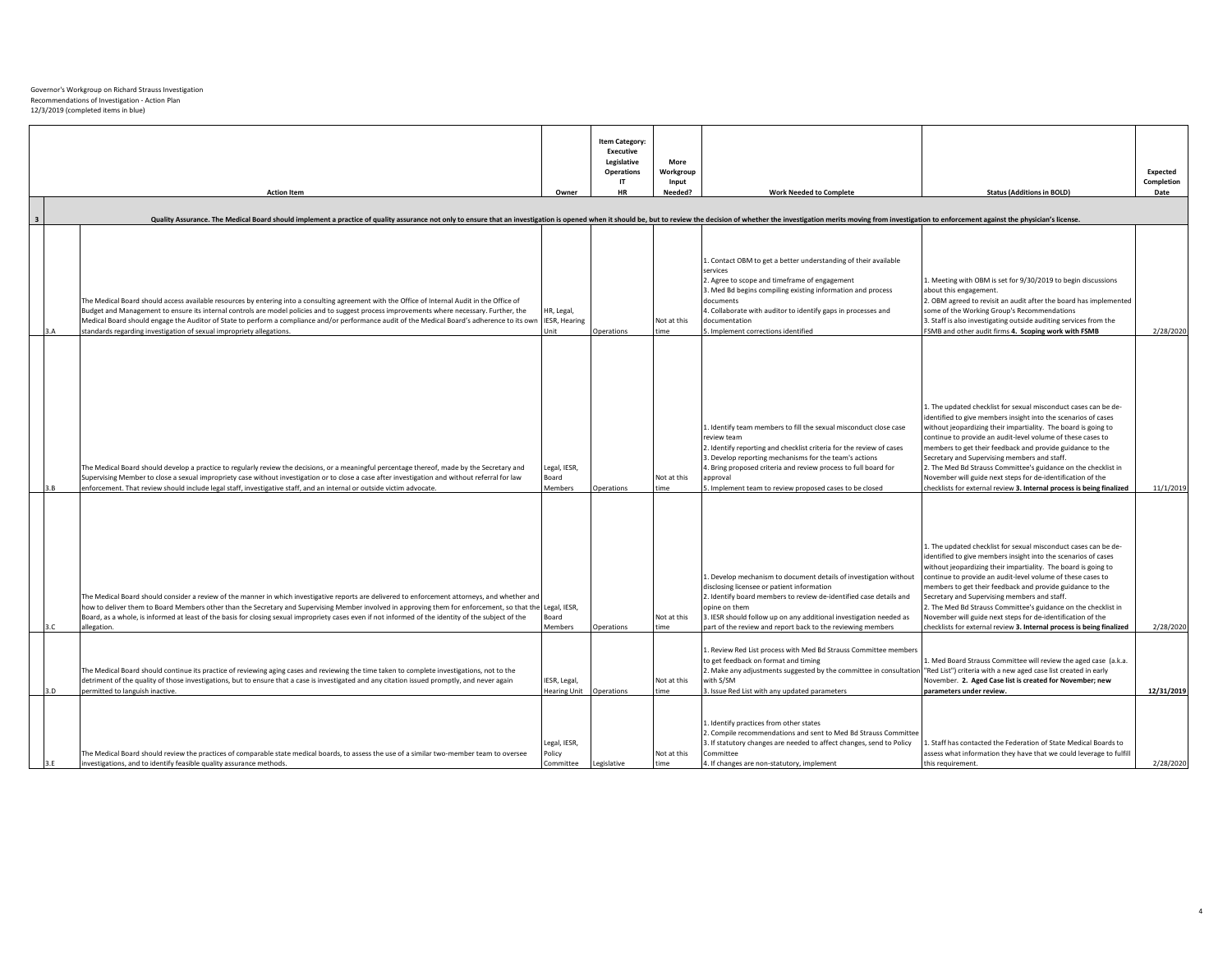|                                                                                                                                                                                                                                                                                                                                                                                                                                                                                                                                                                                                 |                                             | Item Category:<br><b>Executive</b><br>Legislative | More                |                                                                                                                                                                                                                                                                                                                                                                                                       |                                                                                                                                                                                                                                                                                                                                                                                                                                                                                                                                                                                                                                                                    |                               |
|-------------------------------------------------------------------------------------------------------------------------------------------------------------------------------------------------------------------------------------------------------------------------------------------------------------------------------------------------------------------------------------------------------------------------------------------------------------------------------------------------------------------------------------------------------------------------------------------------|---------------------------------------------|---------------------------------------------------|---------------------|-------------------------------------------------------------------------------------------------------------------------------------------------------------------------------------------------------------------------------------------------------------------------------------------------------------------------------------------------------------------------------------------------------|--------------------------------------------------------------------------------------------------------------------------------------------------------------------------------------------------------------------------------------------------------------------------------------------------------------------------------------------------------------------------------------------------------------------------------------------------------------------------------------------------------------------------------------------------------------------------------------------------------------------------------------------------------------------|-------------------------------|
|                                                                                                                                                                                                                                                                                                                                                                                                                                                                                                                                                                                                 |                                             | <b>Operations</b><br>IT                           | Workgroup<br>Input  |                                                                                                                                                                                                                                                                                                                                                                                                       |                                                                                                                                                                                                                                                                                                                                                                                                                                                                                                                                                                                                                                                                    | <b>Expected</b><br>Completion |
| <b>Action Item</b>                                                                                                                                                                                                                                                                                                                                                                                                                                                                                                                                                                              | Owner                                       | <b>HR</b>                                         | Needed?             | <b>Work Needed to Complete</b>                                                                                                                                                                                                                                                                                                                                                                        | <b>Status (Additions in BOLD)</b>                                                                                                                                                                                                                                                                                                                                                                                                                                                                                                                                                                                                                                  | Date                          |
|                                                                                                                                                                                                                                                                                                                                                                                                                                                                                                                                                                                                 |                                             |                                                   |                     |                                                                                                                                                                                                                                                                                                                                                                                                       |                                                                                                                                                                                                                                                                                                                                                                                                                                                                                                                                                                                                                                                                    |                               |
| Quality Assurance. The Medical Board should implement a practice of quality assurance not only to ensure that an investigation is opened when it should be, but to review the decision of whether the investigation merits mov                                                                                                                                                                                                                                                                                                                                                                  |                                             |                                                   |                     |                                                                                                                                                                                                                                                                                                                                                                                                       |                                                                                                                                                                                                                                                                                                                                                                                                                                                                                                                                                                                                                                                                    |                               |
| The Medical Board should access available resources by entering into a consulting agreement with the Office of Internal Audit in the Office of<br>Budget and Management to ensure its internal controls are model policies and to suggest process improvements where necessary. Further, the<br>Medical Board should engage the Auditor of State to perform a compliance and/or performance audit of the Medical Board's adherence to its own<br>standards regarding investigation of sexual impropriety allegations.                                                                           | HR, Legal,<br><b>IESR, Hearing</b><br>Init  | Operations                                        | Not at this         | L. Contact OBM to get a better understanding of their available<br>services<br>. Agree to scope and timeframe of engagement<br>. Med Bd begins compiling existing information and process<br>documents<br>1. Collaborate with auditor to identify gaps in processes and<br>documentation<br>. Implement corrections identified                                                                        | 1. Meeting with OBM is set for 9/30/2019 to begin discussions<br>about this engagement.<br>2. OBM agreed to revisit an audit after the board has implemented<br>some of the Working Group's Recommendations<br>3. Staff is also investigating outside auditing services from the<br>FSMB and other audit firms 4. Scoping work with FSMB                                                                                                                                                                                                                                                                                                                           | 2/28/2020                     |
| The Medical Board should develop a practice to regularly review the decisions, or a meaningful percentage thereof, made by the Secretary and<br>Supervising Member to close a sexual impropriety case without investigation or to close a case after investigation and without referral for law                                                                                                                                                                                                                                                                                                 | legal, IESR,<br>Board                       |                                                   | Not at this         | 1. Identify team members to fill the sexual misconduct close case<br>review team<br>2. Identify reporting and checklist criteria for the review of cases<br>3. Develop reporting mechanisms for the team's actions<br>1. Bring proposed criteria and review process to full board for<br>approval                                                                                                     | L. The updated checklist for sexual misconduct cases can be de-<br>identified to give members insight into the scenarios of cases<br>without jeopardizing their impartiality. The board is going to<br>continue to provide an audit-level volume of these cases to<br>members to get their feedback and provide guidance to the<br>Secretary and Supervising members and staff.<br>2. The Med Bd Strauss Committee's guidance on the checklist in<br>November will guide next steps for de-identification of the                                                                                                                                                   |                               |
| enforcement. That review should include legal staff, investigative staff, and an internal or outside victim advocate.<br>The Medical Board should consider a review of the manner in which investigative reports are delivered to enforcement attorneys, and whether and<br>how to deliver them to Board Members other than the Secretary and Supervising Member involved in approving them for enforcement, so that the<br>Board, as a whole, is informed at least of the basis for closing sexual impropriety cases even if not informed of the identity of the subject of the<br>allegation. | Members<br>Legal, IESR,<br>Board<br>Members | Operations<br>Operations                          | Not at this         | 5. Implement team to review proposed cases to be closed<br>L. Develop mechanism to document details of investigation without<br>disclosing licensee or patient information<br>. Identify board members to review de-identified case details and<br>opine on them<br>3. IESR should follow up on any additional investigation needed as<br>part of the review and report back to the reviewing members | checklists for external review 3. Internal process is being finalized<br>1. The updated checklist for sexual misconduct cases can be de-<br>identified to give members insight into the scenarios of cases<br>without jeopardizing their impartiality. The board is going to<br>continue to provide an audit-level volume of these cases to<br>members to get their feedback and provide guidance to the<br>Secretary and Supervising members and staff.<br>2. The Med Bd Strauss Committee's guidance on the checklist in<br>November will guide next steps for de-identification of the<br>checklists for external review 3. Internal process is being finalized | 11/1/2019<br>2/28/2020        |
| The Medical Board should continue its practice of reviewing aging cases and reviewing the time taken to complete investigations, not to the<br>detriment of the quality of those investigations, but to ensure that a case is investigated and any citation issued promptly, and never again<br>permitted to languish inactive.                                                                                                                                                                                                                                                                 | IESR, Legal,<br>Hearing Unit                | Operations                                        | Not at this<br>time | . Review Red List process with Med Bd Strauss Committee members<br>to get feedback on format and timing<br>Make any adjustments suggested by the committee in consultation "Red List") criteria with a new aged case list created in early<br>with S/SM<br>3. Issue Red List with any updated parameters                                                                                              | 1. Med Board Strauss Committee will review the aged case (a.k.a.<br>November. 2. Aged Case list is created for November; new<br>parameters under review.                                                                                                                                                                                                                                                                                                                                                                                                                                                                                                           | 12/31/2019                    |
| The Medical Board should review the practices of comparable state medical boards, to assess the use of a similar two-member team to oversee<br>nvestigations, and to identify feasible quality assurance methods.                                                                                                                                                                                                                                                                                                                                                                               | Legal, IESR,<br>Policy<br>Committee         | Legislative                                       | Not at this         | . Identify practices from other states<br>. Compile recommendations and sent to Med Bd Strauss Committee<br>3. If statutory changes are needed to affect changes, send to Policy<br>Committee<br>4. If changes are non-statutory, implement                                                                                                                                                           | 1. Staff has contacted the Federation of State Medical Boards to<br>assess what information they have that we could leverage to fulfill<br>this requirement.                                                                                                                                                                                                                                                                                                                                                                                                                                                                                                       | 2/28/2020                     |

4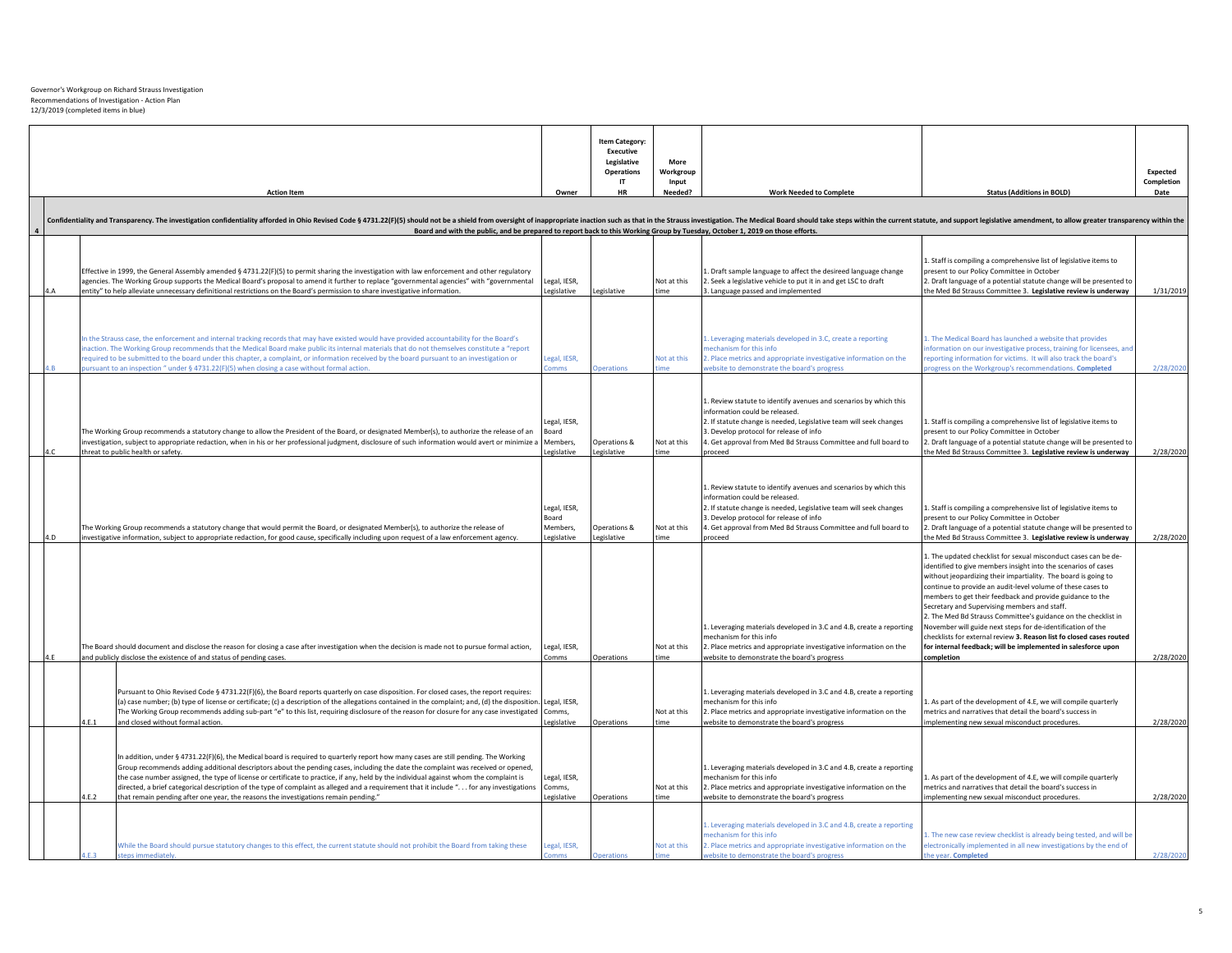|         |                                                                                                                                                                                                                                                                                                                                                                                                                                                                                                                                                                                                                                                      |                                                 | Item Category:<br><b>Executive</b><br>Legislative<br><b>Operations</b> | More<br>Workgroup   |                                                                                                                                                                                                                                                                                                    |                                                                                                                                                                                                                                                                                                                                                                                                                                                                                                                                                                                                                                                                    | Expected   |
|---------|------------------------------------------------------------------------------------------------------------------------------------------------------------------------------------------------------------------------------------------------------------------------------------------------------------------------------------------------------------------------------------------------------------------------------------------------------------------------------------------------------------------------------------------------------------------------------------------------------------------------------------------------------|-------------------------------------------------|------------------------------------------------------------------------|---------------------|----------------------------------------------------------------------------------------------------------------------------------------------------------------------------------------------------------------------------------------------------------------------------------------------------|--------------------------------------------------------------------------------------------------------------------------------------------------------------------------------------------------------------------------------------------------------------------------------------------------------------------------------------------------------------------------------------------------------------------------------------------------------------------------------------------------------------------------------------------------------------------------------------------------------------------------------------------------------------------|------------|
|         |                                                                                                                                                                                                                                                                                                                                                                                                                                                                                                                                                                                                                                                      |                                                 | <b>IT</b>                                                              | Input               |                                                                                                                                                                                                                                                                                                    |                                                                                                                                                                                                                                                                                                                                                                                                                                                                                                                                                                                                                                                                    | Completion |
|         | <b>Action Item</b>                                                                                                                                                                                                                                                                                                                                                                                                                                                                                                                                                                                                                                   | Owner                                           | <b>HR</b>                                                              | Needed?             | <b>Work Needed to Complete</b>                                                                                                                                                                                                                                                                     | <b>Status (Additions in BOLD)</b>                                                                                                                                                                                                                                                                                                                                                                                                                                                                                                                                                                                                                                  | Date       |
|         | Confidentiality and Transparency. The investigation confidentiality afforded in Ohio Revised Code § 4731.22(F)(5) should not be a shield from oversight of inappropriate inaction such as that in the Strauss investigation. T                                                                                                                                                                                                                                                                                                                                                                                                                       |                                                 |                                                                        |                     |                                                                                                                                                                                                                                                                                                    |                                                                                                                                                                                                                                                                                                                                                                                                                                                                                                                                                                                                                                                                    |            |
|         | Board and with the public, and be prepared to report back to this Working Group by Tuesday, October 1, 2019 on those efforts.                                                                                                                                                                                                                                                                                                                                                                                                                                                                                                                        |                                                 |                                                                        |                     |                                                                                                                                                                                                                                                                                                    |                                                                                                                                                                                                                                                                                                                                                                                                                                                                                                                                                                                                                                                                    |            |
|         | Effective in 1999, the General Assembly amended § 4731.22(F)(5) to permit sharing the investigation with law enforcement and other regulatory<br>agencies. The Working Group supports the Medical Board's proposal to amend it further to replace "governmental agencies" with "governmental<br>entity" to help alleviate unnecessary definitional restrictions on the Board's permission to share investigative information.                                                                                                                                                                                                                        | Legal, IESR,<br>egislative                      | Legislative                                                            | Not at this<br>ime  | 1. Draft sample language to affect the desireed language change<br>2. Seek a legislative vehicle to put it in and get LSC to draft<br>. Language passed and implemented                                                                                                                            | Staff is compiling a comprehensive list of legislative items to<br>present to our Policy Committee in October<br>2. Draft language of a potential statute change will be presented to<br>the Med Bd Strauss Committee 3. Legislative review is underway                                                                                                                                                                                                                                                                                                                                                                                                            | 1/31/2019  |
|         | n the Strauss case, the enforcement and internal tracking records that may have existed would have provided accountability for the Board's<br>naction. The Working Group recommends that the Medical Board make public its internal materials that do not themselves constitute a "report<br>equired to be submitted to the board under this chapter, a complaint, or information received by the board pursuant to an investigation or<br>ursuant to an inspection " under § 4731.22(F)(5) when closing a case without formal action                                                                                                                | egal, IESR,                                     | neration                                                               | Not at this         | Leveraging materials developed in 3.C, create a reporting<br>echanism for this info<br>. Place metrics and appropriate investigative information on the<br>ebsite to demonstrate the board's progress                                                                                              | The Medical Board has launched a website that provides<br>nformation on our investigative process, training for licensees, and<br>eporting information for victims. It will also track the board's<br>ogress on the Workgroup's recommendations. Completed                                                                                                                                                                                                                                                                                                                                                                                                         | 2/28/2020  |
|         | The Working Group recommends a statutory change to allow the President of the Board, or designated Member(s), to authorize the release of an<br>nvestigation, subject to appropriate redaction, when in his or her professional judgment, disclosure of such information would avert or minimize a<br>threat to public health or safety.                                                                                                                                                                                                                                                                                                             | egal, IESR,<br>Board<br>Members,<br>Legislative | Operations &<br>Legislative                                            | Not at this<br>:ime | 1. Review statute to identify avenues and scenarios by which this<br>information could be released.<br>2. If statute change is needed, Legislative team will seek changes<br>3. Develop protocol for release of info<br>4. Get approval from Med Bd Strauss Committee and full board to<br>proceed | 1. Staff is compiling a comprehensive list of legislative items to<br>present to our Policy Committee in October<br>2. Draft language of a potential statute change will be presented to<br>the Med Bd Strauss Committee 3. Legislative review is underway                                                                                                                                                                                                                                                                                                                                                                                                         | 2/28/2020  |
|         | The Working Group recommends a statutory change that would permit the Board, or designated Member(s), to authorize the release of<br>nvestigative information, subject to appropriate redaction, for good cause, specifically including upon request of a law enforcement agency.                                                                                                                                                                                                                                                                                                                                                                    | Legal, IESR,<br>Board<br>Members,<br>egislative | Operations &<br>Legislative                                            | Not at this<br>ime  | 1. Review statute to identify avenues and scenarios by which this<br>information could be released.<br>2. If statute change is needed, Legislative team will seek changes<br>3. Develop protocol for release of info<br>4. Get approval from Med Bd Strauss Committee and full board to<br>proceed | Staff is compiling a comprehensive list of legislative items to<br>present to our Policy Committee in October<br>. Draft language of a potential statute change will be presented to<br>the Med Bd Strauss Committee 3. Legislative review is underway                                                                                                                                                                                                                                                                                                                                                                                                             | 2/28/2020  |
|         | The Board should document and disclose the reason for closing a case after investigation when the decision is made not to pursue formal action,<br>and publicly disclose the existence of and status of pending cases.                                                                                                                                                                                                                                                                                                                                                                                                                               | Legal, IESR,<br>Comms                           | Operations                                                             | Not at this<br>ime  | 1. Leveraging materials developed in 3.C and 4.B, create a reporting<br>mechanism for this info<br>2. Place metrics and appropriate investigative information on the<br>website to demonstrate the board's progress                                                                                | The updated checklist for sexual misconduct cases can be de-<br>dentified to give members insight into the scenarios of cases<br>without jeopardizing their impartiality. The board is going to<br>continue to provide an audit-level volume of these cases to<br>members to get their feedback and provide guidance to the<br>Secretary and Supervising members and staff.<br>. The Med Bd Strauss Committee's guidance on the checklist in<br>November will guide next steps for de-identification of the<br>checklists for external review 3. Reason list fo closed cases routed<br>for internal feedback; will be implemented in salesforce upon<br>completion | 2/28/2020  |
| 1. F. 1 | Pursuant to Ohio Revised Code § 4731.22(F)(6), the Board reports quarterly on case disposition. For closed cases, the report requires:<br>(a) case number; (b) type of license or certificate; (c) a description of the allegations contained in the complaint; and, (d) the disposition. Legal, IESR,<br>The Working Group recommends adding sub-part "e" to this list, requiring disclosure of the reason for closure for any case investigated Comms,<br>and closed without formal action.                                                                                                                                                        | egislative                                      | Operations                                                             | Not at this<br>ime  | 1. Leveraging materials developed in 3.C and 4.B, create a reporting<br>mechanism for this info<br>2. Place metrics and appropriate investigative information on the<br>website to demonstrate the board's progress                                                                                | 1. As part of the development of 4.E, we will compile quarterly<br>metrics and narratives that detail the board's success in<br>mplementing new sexual misconduct procedures.                                                                                                                                                                                                                                                                                                                                                                                                                                                                                      | 2/28/2020  |
| 4 F 2   | In addition, under § 4731.22(F)(6), the Medical board is required to quarterly report how many cases are still pending. The Working<br>Group recommends adding additional descriptors about the pending cases, including the date the complaint was received or opened,<br>the case number assigned, the type of license or certificate to practice, if any, held by the individual against whom the complaint is<br>directed, a brief categorical description of the type of complaint as alleged and a requirement that it include " for any investigations<br>that remain pending after one year, the reasons the investigations remain pending." | Legal, IESR,<br>Comms.<br>egislative            | Operations                                                             | Not at this<br>ime: | 1. Leveraging materials developed in 3.C and 4.B, create a reporting<br>mechanism for this info<br>2. Place metrics and appropriate investigative information on the<br>website to demonstrate the board's progress                                                                                | 1. As part of the development of 4.E, we will compile quarterly<br>metrics and narratives that detail the board's success in<br>mplementing new sexual misconduct procedures.                                                                                                                                                                                                                                                                                                                                                                                                                                                                                      | 2/28/2020  |
|         | While the Board should pursue statutory changes to this effect, the current statute should not prohibit the Board from taking these<br>steps immediately.                                                                                                                                                                                                                                                                                                                                                                                                                                                                                            | Legal, IESR,<br>omms                            | <b>Operations</b>                                                      | Not at this         | 1. Leveraging materials developed in 3.C and 4.B, create a reporting<br>nechanism for this info<br>2. Place metrics and appropriate investigative information on the<br>website to demonstrate the board's progress                                                                                | The new case review checklist is already being tested, and will be<br>electronically implemented in all new investigations by the end of<br>he year. Completed                                                                                                                                                                                                                                                                                                                                                                                                                                                                                                     | 2/28/2020  |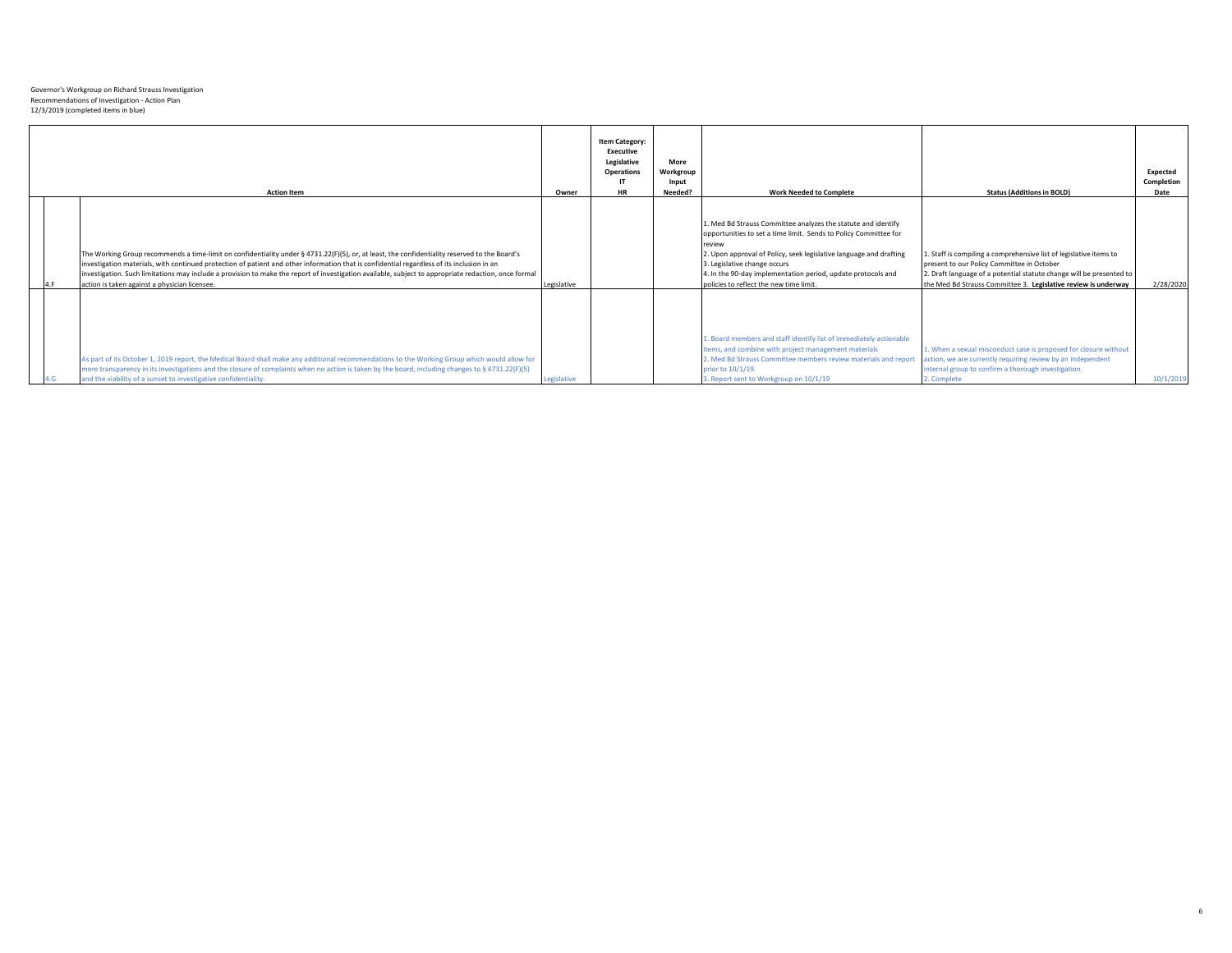|                                                                                                                                                                                                                                                                                                                                                                                                                                                                                                                                      | <b>Action Item</b>                                                                                                                                                                                                                                                                                                                                                   | Owner       | <b>Item Category:</b><br>Executive<br>Legislative<br><b>Operations</b><br><b>HR</b> | More<br>Workgroup<br>Input<br>Needed? | <b>Work Needed to Complete</b>                                                                                                                                                                                                                                                                                                                               | <b>Status (Additions in BOLD)</b>                                                                                                                                                                                                                          | <b>Expected</b><br>Completion<br>Date |
|--------------------------------------------------------------------------------------------------------------------------------------------------------------------------------------------------------------------------------------------------------------------------------------------------------------------------------------------------------------------------------------------------------------------------------------------------------------------------------------------------------------------------------------|----------------------------------------------------------------------------------------------------------------------------------------------------------------------------------------------------------------------------------------------------------------------------------------------------------------------------------------------------------------------|-------------|-------------------------------------------------------------------------------------|---------------------------------------|--------------------------------------------------------------------------------------------------------------------------------------------------------------------------------------------------------------------------------------------------------------------------------------------------------------------------------------------------------------|------------------------------------------------------------------------------------------------------------------------------------------------------------------------------------------------------------------------------------------------------------|---------------------------------------|
| The Working Group recommends a time-limit on confidentiality under § 4731.22(F)(5), or, at least, the confidentiality reserved to the Board's<br>investigation materials, with continued protection of patient and other information that is confidential regardless of its inclusion in an<br>investigation. Such limitations may include a provision to make the report of investigation available, subject to appropriate redaction, once formal<br>Legislative<br>action is taken against a physician licensee.<br>$\triangle$ F |                                                                                                                                                                                                                                                                                                                                                                      |             |                                                                                     |                                       | 1. Med Bd Strauss Committee analyzes the statute and identify<br>opportunities to set a time limit. Sends to Policy Committee for<br>review<br>2. Upon approval of Policy, seek legislative language and drafting<br>3. Legislative change occurs<br>4. In the 90-day implementation period, update protocols and<br>policies to reflect the new time limit. | 1. Staff is compiling a comprehensive list of legislative items to<br>present to our Policy Committee in October<br>2. Draft language of a potential statute change will be presented to<br>the Med Bd Strauss Committee 3. Legislative review is underway | 2/28/2020                             |
|                                                                                                                                                                                                                                                                                                                                                                                                                                                                                                                                      | As part of its October 1, 2019 report, the Medical Board shall make any additional recommendations to the Working Group which would allow for<br>more transparency in its investigations and the closure of complaints when no action is taken by the board, including changes to § 4731.22(F)(5)<br>and the viability of a sunset to investigative confidentiality. | Legislative |                                                                                     |                                       | 1. Board members and staff identify list of immediately actionable<br>items, and combine with project management materials<br>2. Med Bd Strauss Committee members review materials and report<br>prior to 10/1/19.<br>Report sent to Workgroup on 10/1/19                                                                                                    | 1. When a sexual misconduct case is proposed for closure without<br>action, we are currently requiring review by an independent<br>internal group to confirm a thorough investigation.<br>2. Complete                                                      | 10/1/2019                             |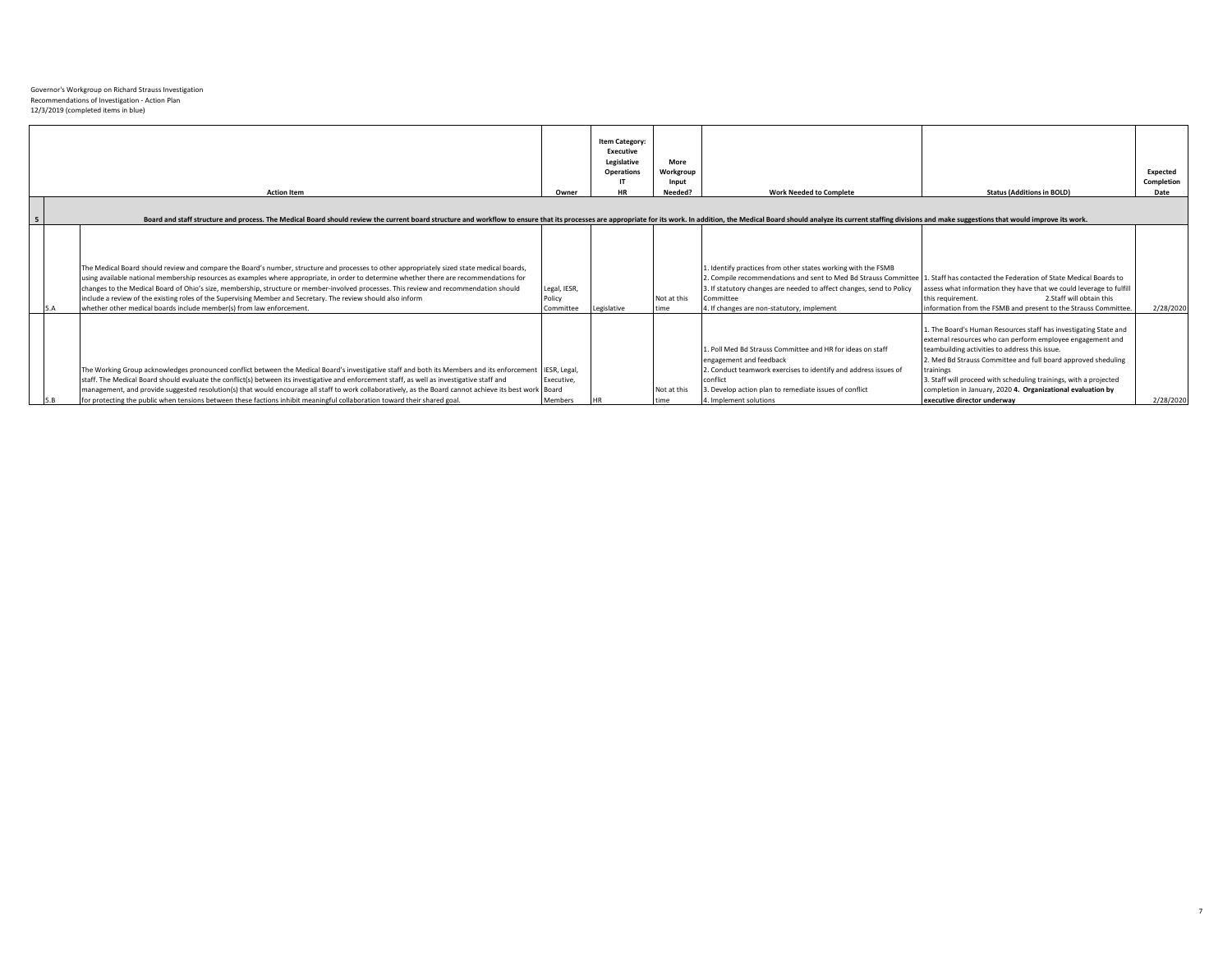|  | <b>Action Item</b>                                                                                                                                                                                                                                                                                                                                                                                                                                                                                                                                                                                                        | Owner                               | Item Category:<br>Executive<br>Legislative<br>Operations<br>IT<br><b>HR</b> | More<br>Workgroup<br>Input<br>Needed? | <b>Work Needed to Complete</b>                                                                                                                                                                                                                                                                                                       | <b>Status (Additions in BOLD)</b>                                                                                                                                                                                                                                                                                                                                                                                                 | Expected<br>Completion<br>Date |
|--|---------------------------------------------------------------------------------------------------------------------------------------------------------------------------------------------------------------------------------------------------------------------------------------------------------------------------------------------------------------------------------------------------------------------------------------------------------------------------------------------------------------------------------------------------------------------------------------------------------------------------|-------------------------------------|-----------------------------------------------------------------------------|---------------------------------------|--------------------------------------------------------------------------------------------------------------------------------------------------------------------------------------------------------------------------------------------------------------------------------------------------------------------------------------|-----------------------------------------------------------------------------------------------------------------------------------------------------------------------------------------------------------------------------------------------------------------------------------------------------------------------------------------------------------------------------------------------------------------------------------|--------------------------------|
|  | Board and staff structure and process. The Medical Board should review the current board structure and workflow to ensure that its processes are appropriate for its work. In addition, the Medical Board should analyze its c                                                                                                                                                                                                                                                                                                                                                                                            |                                     |                                                                             |                                       |                                                                                                                                                                                                                                                                                                                                      |                                                                                                                                                                                                                                                                                                                                                                                                                                   |                                |
|  | The Medical Board should review and compare the Board's number, structure and processes to other appropriately sized state medical boards,<br>using available national membership resources as examples where appropriate, in order to determine whether there are recommendations for<br>changes to the Medical Board of Ohio's size, membership, structure or member-involved processes. This review and recommendation should<br>include a review of the existing roles of the Supervising Member and Secretary. The review should also inform<br>whether other medical boards include member(s) from law enforcement. | Legal, IESR,<br>Policy<br>Committee | Legislative                                                                 | Not at this<br>time                   | L. Identify practices from other states working with the FSMB<br>2. Compile recommendations and sent to Med Bd Strauss Committee 1. Staff has contacted the Federation of State Medical Boards to<br>3. If statutory changes are needed to affect changes, send to Policy<br>Committee<br>4. If changes are non-statutory, implement | assess what information they have that we could leverage to fulfill<br>2. Staff will obtain this<br>this requirement.<br>information from the FSMB and present to the Strauss Committee.                                                                                                                                                                                                                                          | 2/28/2020                      |
|  | The Working Group acknowledges pronounced conflict between the Medical Board's investigative staff and both its Members and its enforcement IESR, Legal,<br>staff. The Medical Board should evaluate the conflict(s) between its investigative and enforcement staff, as well as investigative staff and<br>management, and provide suggested resolution(s) that would encourage all staff to work collaboratively, as the Board cannot achieve its best work Board<br>for protecting the public when tensions between these factions inhibit meaningful collaboration toward their shared goal.                          | Executive,<br><b>Members</b>        |                                                                             | Not at this<br>time                   | 1. Poll Med Bd Strauss Committee and HR for ideas on staff<br>engagement and feedback<br>2. Conduct teamwork exercises to identify and address issues of<br>conflict<br>3. Develop action plan to remediate issues of conflict<br>4. Implement solutions                                                                             | 1. The Board's Human Resources staff has investigating State and<br>external resources who can perform employee engagement and<br>teambuilding activities to address this issue.<br>2. Med Bd Strauss Committee and full board approved sheduling<br>trainings<br>3. Staff will proceed with scheduling trainings, with a projected<br>completion in January, 2020 4. Organizational evaluation by<br>executive director underway | 2/28/2020                      |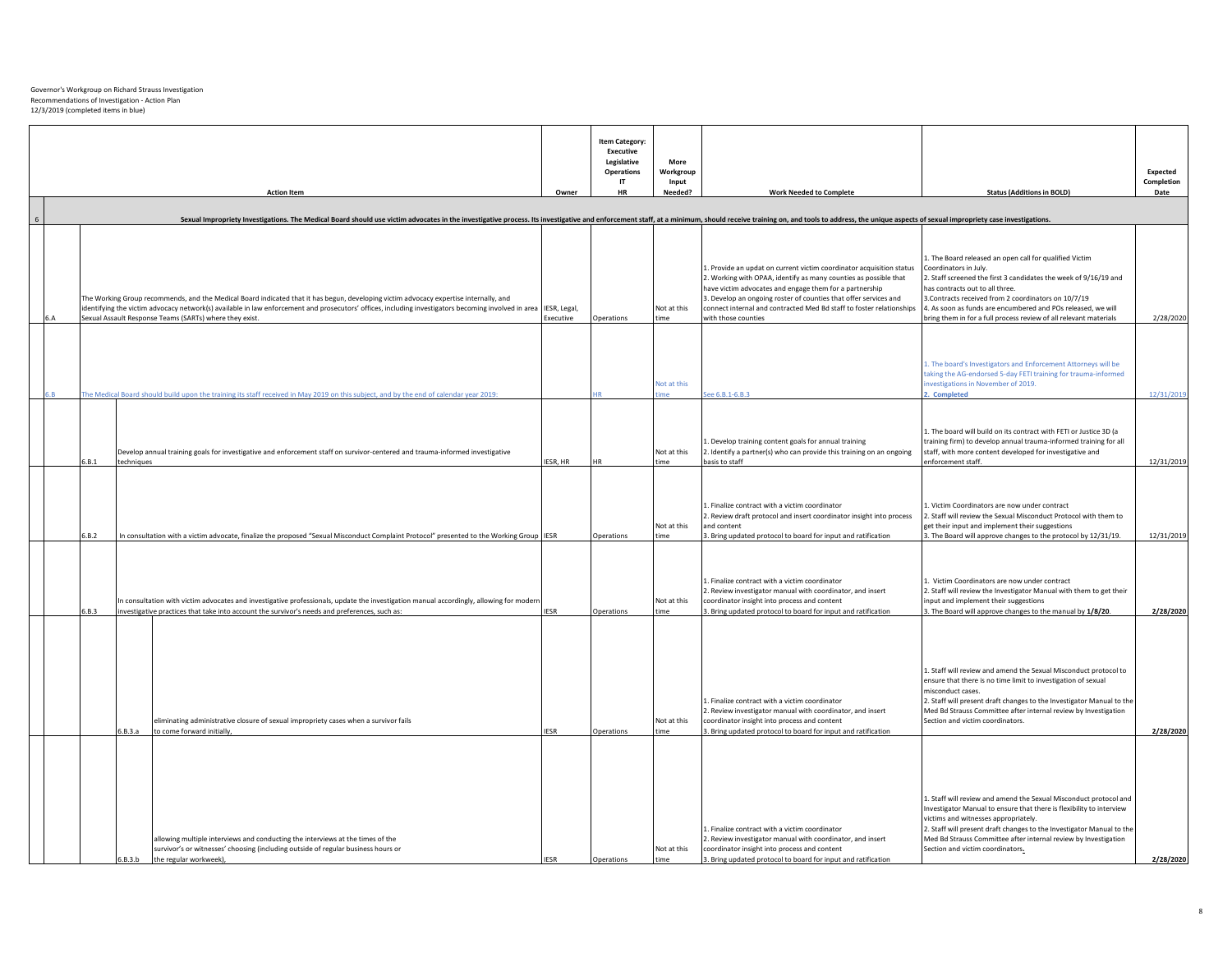|  |       |            |                                                                                                                                                                                                                                                                                                                                                                      |             | Item Category:<br><b>Executive</b><br>Legislative<br><b>Operations</b><br>IT<br>HR | More<br>Workgroup<br>Input |                                                                                                                                                                                                                               |                                                                                                                                                                                                                                                                                                                                                                   | Expected<br>Completion |
|--|-------|------------|----------------------------------------------------------------------------------------------------------------------------------------------------------------------------------------------------------------------------------------------------------------------------------------------------------------------------------------------------------------------|-------------|------------------------------------------------------------------------------------|----------------------------|-------------------------------------------------------------------------------------------------------------------------------------------------------------------------------------------------------------------------------|-------------------------------------------------------------------------------------------------------------------------------------------------------------------------------------------------------------------------------------------------------------------------------------------------------------------------------------------------------------------|------------------------|
|  |       |            | <b>Action Item</b>                                                                                                                                                                                                                                                                                                                                                   | Owner       |                                                                                    | Needed?                    | <b>Work Needed to Complete</b>                                                                                                                                                                                                | <b>Status (Additions in BOLD)</b>                                                                                                                                                                                                                                                                                                                                 | Date                   |
|  |       |            | Sexual Impropriety Investigations. The Medical Board should use victim advocates in the investigative process. Its investigative and enforcement staff, at a minimum, should receive training on, and tools to address, the un                                                                                                                                       |             |                                                                                    |                            |                                                                                                                                                                                                                               |                                                                                                                                                                                                                                                                                                                                                                   |                        |
|  |       |            |                                                                                                                                                                                                                                                                                                                                                                      |             |                                                                                    |                            |                                                                                                                                                                                                                               |                                                                                                                                                                                                                                                                                                                                                                   |                        |
|  |       |            |                                                                                                                                                                                                                                                                                                                                                                      |             |                                                                                    |                            | 1. Provide an updat on current victim coordinator acquisition status<br>2. Working with OPAA, identify as many counties as possible that<br>have victim advocates and engage them for a partnership                           | . The Board released an open call for qualified Victim<br>Coordinators in July.<br>2. Staff screened the first 3 candidates the week of 9/16/19 and<br>has contracts out to all three.                                                                                                                                                                            |                        |
|  |       |            | The Working Group recommends, and the Medical Board indicated that it has begun, developing victim advocacy expertise internally, and<br>identifying the victim advocacy network(s) available in law enforcement and prosecutors' offices, including investigators becoming involved in area IESR, Legal,<br>Sexual Assault Response Teams (SARTs) where they exist. | xecutive    | Operations                                                                         | Not at this<br>ime         | 3. Develop an ongoing roster of counties that offer services and<br>connect internal and contracted Med Bd staff to foster relationships<br>with those counties                                                               | 3. Contracts received from 2 coordinators on 10/7/19<br>4. As soon as funds are encumbered and POs released, we will<br>pring them in for a full process review of all relevant materials                                                                                                                                                                         | 2/28/2020              |
|  |       |            |                                                                                                                                                                                                                                                                                                                                                                      |             |                                                                                    |                            |                                                                                                                                                                                                                               |                                                                                                                                                                                                                                                                                                                                                                   |                        |
|  |       |            | The Medical Board should build upon the training its staff received in May 2019 on this subject, and by the end of calendar year 2019:                                                                                                                                                                                                                               |             |                                                                                    | Not at this                | ee 6.B.1-6.B.3                                                                                                                                                                                                                | L. The board's Investigators and Enforcement Attorneys will be<br>aking the AG-endorsed 5-day FETI training for trauma-informed<br>nvestigations in November of 2019.<br>. Completed                                                                                                                                                                              | 12/31/201              |
|  |       |            |                                                                                                                                                                                                                                                                                                                                                                      |             |                                                                                    |                            |                                                                                                                                                                                                                               |                                                                                                                                                                                                                                                                                                                                                                   |                        |
|  | 6.B.1 | techniques | Develop annual training goals for investigative and enforcement staff on survivor-centered and trauma-informed investigative                                                                                                                                                                                                                                         | ESR, HR     |                                                                                    | Not at this<br>ime         | 1. Develop training content goals for annual training<br>2. Identify a partner(s) who can provide this training on an ongoing<br>basis to staff                                                                               | L. The board will build on its contract with FETI or Justice 3D (a<br>training firm) to develop annual trauma-informed training for all<br>staff, with more content developed for investigative and<br>enforcement staff.                                                                                                                                         | 12/31/2019             |
|  |       |            |                                                                                                                                                                                                                                                                                                                                                                      |             |                                                                                    |                            |                                                                                                                                                                                                                               |                                                                                                                                                                                                                                                                                                                                                                   |                        |
|  | 6.B.2 |            | In consultation with a victim advocate, finalize the proposed "Sexual Misconduct Complaint Protocol" presented to the Working Group IESR                                                                                                                                                                                                                             |             | Operations                                                                         | Not at this<br>ime         | . Finalize contract with a victim coordinator<br>2. Review draft protocol and insert coordinator insight into process<br>and content<br>3. Bring updated protocol to board for input and ratification                         | . Victim Coordinators are now under contract<br>2. Staff will review the Sexual Misconduct Protocol with them to<br>get their input and implement their suggestions<br>. The Board will approve changes to the protocol by 12/31/19.                                                                                                                              | 12/31/2019             |
|  |       |            |                                                                                                                                                                                                                                                                                                                                                                      |             |                                                                                    |                            |                                                                                                                                                                                                                               |                                                                                                                                                                                                                                                                                                                                                                   |                        |
|  | 6.B.3 |            | In consultation with victim advocates and investigative professionals, update the investigation manual accordingly, allowing for modern<br>investigative practices that take into account the survivor's needs and preferences, such as:                                                                                                                             | <b>IFSR</b> | Onerations                                                                         | Not at this<br>ime         | 1. Finalize contract with a victim coordinator<br>2. Review investigator manual with coordinator, and insert<br>coordinator insight into process and content<br>3. Bring updated protocol to board for input and ratification | L. Victim Coordinators are now under contract<br>2. Staff will review the Investigator Manual with them to get their<br>input and implement their suggestions<br>3. The Board will approve changes to the manual by 1/8/20.                                                                                                                                       | 2/28/2020              |
|  |       |            |                                                                                                                                                                                                                                                                                                                                                                      |             |                                                                                    |                            |                                                                                                                                                                                                                               |                                                                                                                                                                                                                                                                                                                                                                   |                        |
|  |       | 6.B.3.a    | eliminating administrative closure of sexual impropriety cases when a survivor fails<br>to come forward initially                                                                                                                                                                                                                                                    | <b>IFSR</b> | Operations                                                                         | Not at this                | 1. Finalize contract with a victim coordinator<br>2. Review investigator manual with coordinator, and insert<br>coordinator insight into process and content<br>3. Bring updated protocol to board for input and ratification | 1. Staff will review and amend the Sexual Misconduct protocol to<br>ensure that there is no time limit to investigation of sexual<br>misconduct cases.<br>2. Staff will present draft changes to the Investigator Manual to the<br>Med Bd Strauss Committee after internal review by Investigation<br>Section and victim coordinators.                            | 2/28/2020              |
|  |       |            |                                                                                                                                                                                                                                                                                                                                                                      |             |                                                                                    |                            |                                                                                                                                                                                                                               |                                                                                                                                                                                                                                                                                                                                                                   |                        |
|  |       | 6.B.3.b    | allowing multiple interviews and conducting the interviews at the times of the<br>survivor's or witnesses' choosing (including outside of regular business hours or<br>the regular workweek),                                                                                                                                                                        | <b>IESR</b> | Onerations                                                                         | Not at this<br>time        | 1. Finalize contract with a victim coordinator<br>2. Review investigator manual with coordinator, and insert<br>coordinator insight into process and content<br>3. Bring updated protocol to board for input and ratification | 1. Staff will review and amend the Sexual Misconduct protocol and<br>Investigator Manual to ensure that there is flexibility to interview<br>victims and witnesses appropriately.<br>2. Staff will present draft changes to the Investigator Manual to the<br>Med Bd Strauss Committee after internal review by Investigation<br>Section and victim coordinators. | 2/28/2020              |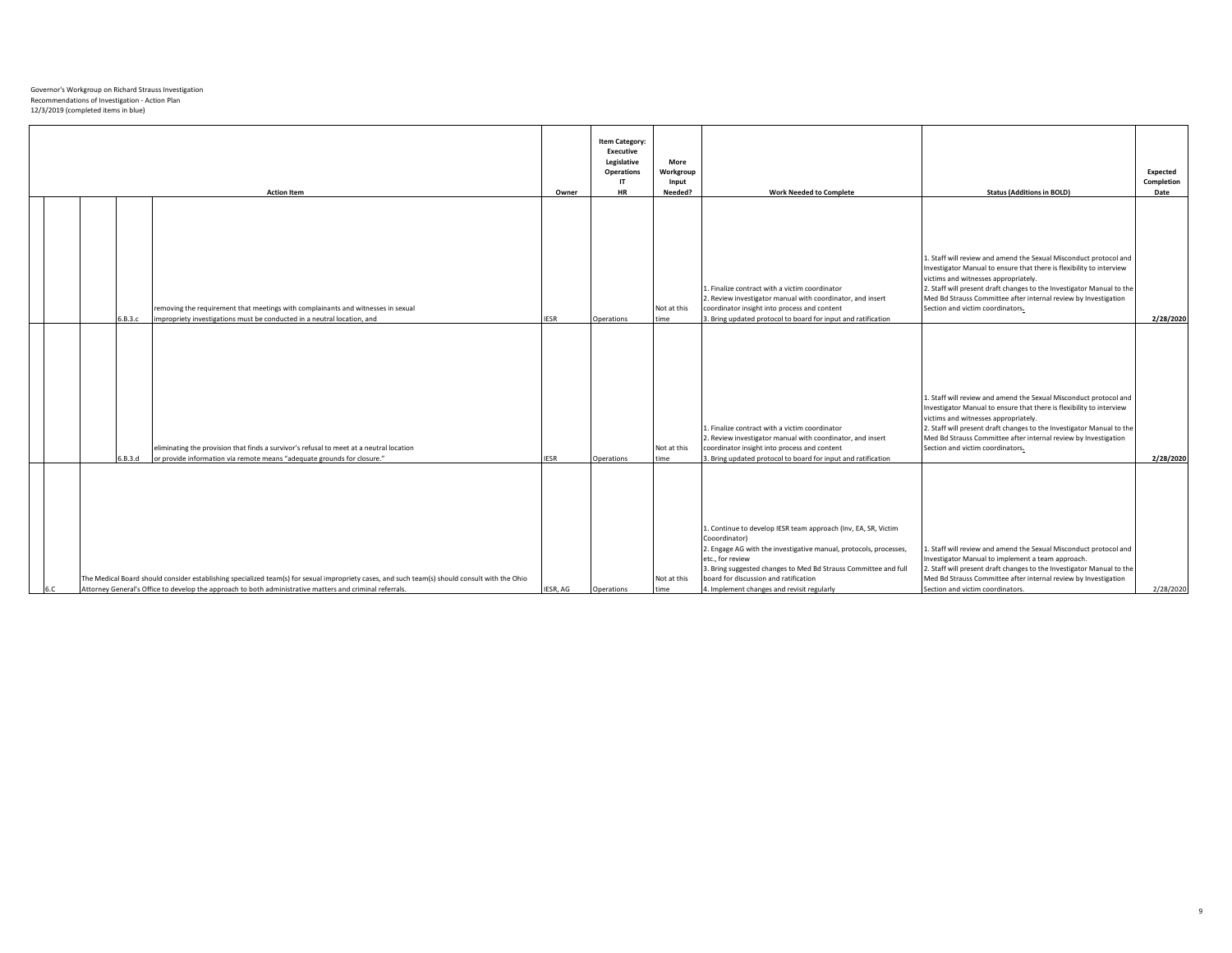| <b>Action Item</b> |  |         |                                                                                                                                                                                                                                                            |             |            | More<br>Workgroup<br>Input<br>Needed? |                                                                                                                                                                                                                                                                                                                                    | <b>Status (Additions in BOLD)</b>                                                                                                                                                                                                                                                                                                                                 | Expected<br>Completion |
|--------------------|--|---------|------------------------------------------------------------------------------------------------------------------------------------------------------------------------------------------------------------------------------------------------------------|-------------|------------|---------------------------------------|------------------------------------------------------------------------------------------------------------------------------------------------------------------------------------------------------------------------------------------------------------------------------------------------------------------------------------|-------------------------------------------------------------------------------------------------------------------------------------------------------------------------------------------------------------------------------------------------------------------------------------------------------------------------------------------------------------------|------------------------|
|                    |  |         |                                                                                                                                                                                                                                                            | Owner       | <b>HR</b>  |                                       | <b>Work Needed to Complete</b>                                                                                                                                                                                                                                                                                                     |                                                                                                                                                                                                                                                                                                                                                                   | Date                   |
|                    |  | 6.B.3.c | removing the requirement that meetings with complainants and witnesses in sexual<br>impropriety investigations must be conducted in a neutral location, and                                                                                                | <b>ESR</b>  | Operations | Not at this<br>time                   | . Finalize contract with a victim coordinator<br>2. Review investigator manual with coordinator, and insert<br>coordinator insight into process and content<br>. Bring updated protocol to board for input and ratification                                                                                                        | 1. Staff will review and amend the Sexual Misconduct protocol and<br>Investigator Manual to ensure that there is flexibility to interview<br>victims and witnesses appropriately.<br>2. Staff will present draft changes to the Investigator Manual to the<br>Med Bd Strauss Committee after internal review by Investigation<br>Section and victim coordinators. | 2/28/2020              |
|                    |  | 6.B.3.d | eliminating the provision that finds a survivor's refusal to meet at a neutral location<br>or provide information via remote means "adequate grounds for closure."                                                                                         | <b>IESR</b> | Operations | Not at this<br>time                   | . Finalize contract with a victim coordinator<br>2. Review investigator manual with coordinator, and insert<br>coordinator insight into process and content<br>3. Bring updated protocol to board for input and ratification                                                                                                       | Staff will review and amend the Sexual Misconduct protocol and<br>Investigator Manual to ensure that there is flexibility to interview<br>victims and witnesses appropriately.<br>2. Staff will present draft changes to the Investigator Manual to the<br>Med Bd Strauss Committee after internal review by Investigation<br>Section and victim coordinators.    | 2/28/2020              |
|                    |  |         | The Medical Board should consider establishing specialized team(s) for sexual impropriety cases, and such team(s) should consult with the Ohio<br>Attorney General's Office to develop the approach to both administrative matters and criminal referrals. | IESR. AG    | Operations | Not at this<br>time                   | 1. Continue to develop IESR team approach (Inv, EA, SR, Victim<br>Cooordinator)<br>2. Engage AG with the investigative manual, protocols, processes,<br>etc., for review<br>3. Bring suggested changes to Med Bd Strauss Committee and full<br>board for discussion and ratification<br>4. Implement changes and revisit regularly | Staff will review and amend the Sexual Misconduct protocol and<br>Investigator Manual to implement a team approach.<br>2. Staff will present draft changes to the Investigator Manual to the<br>Med Bd Strauss Committee after internal review by Investigation<br>Section and victim coordinators.                                                               | 2/28/2020              |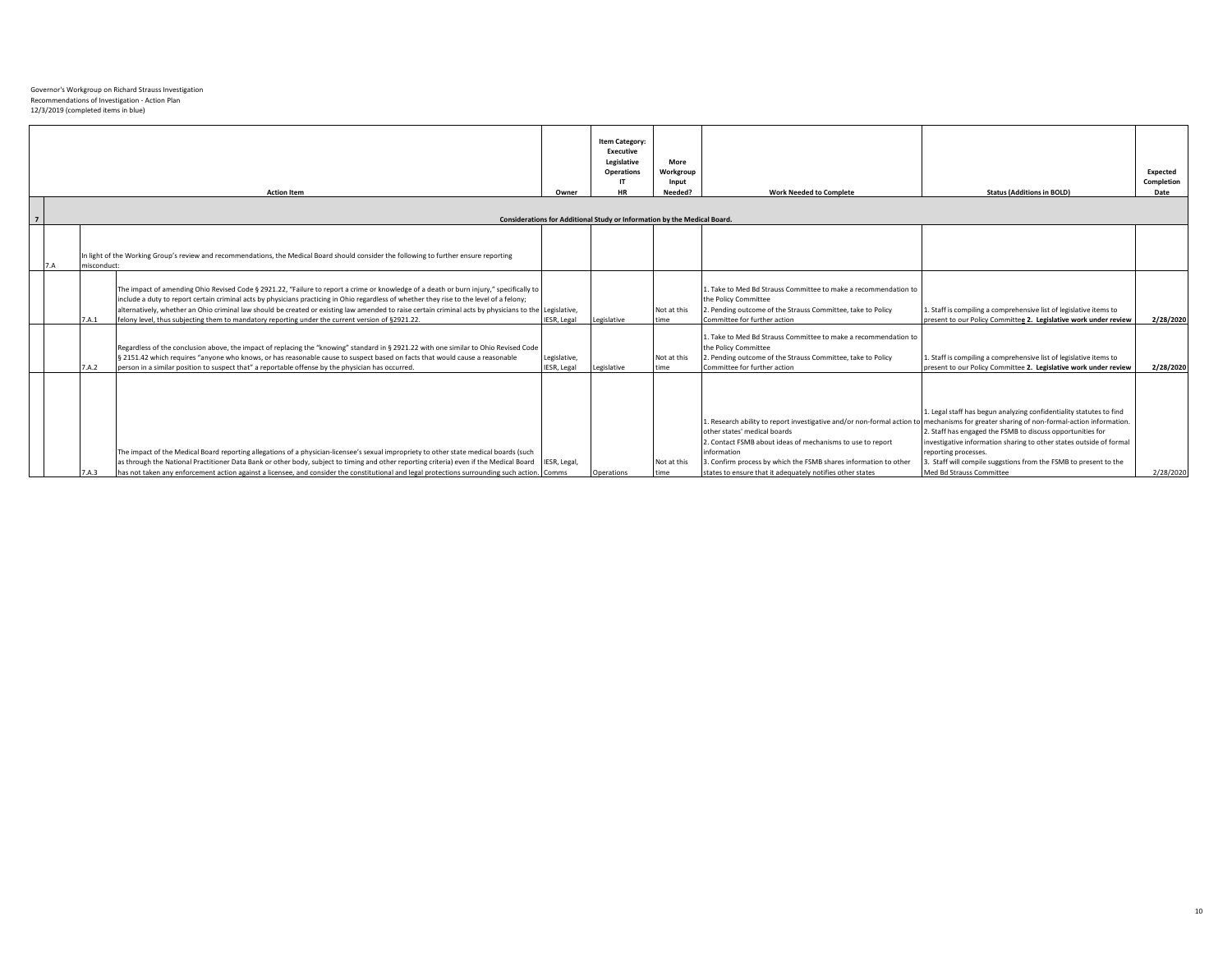|             |                                                                                                                                                        |              | <b>Item Category:</b><br><b>Executive</b><br>Legislative<br><b>Operations</b> | More<br>Workgroup<br>Input |                                                                                                                                       |                                                                     | <b>Expected</b><br>Completion |
|-------------|--------------------------------------------------------------------------------------------------------------------------------------------------------|--------------|-------------------------------------------------------------------------------|----------------------------|---------------------------------------------------------------------------------------------------------------------------------------|---------------------------------------------------------------------|-------------------------------|
|             | <b>Action Item</b>                                                                                                                                     | Owner        | <b>HR</b>                                                                     | Needed?                    | <b>Work Needed to Complete</b>                                                                                                        | <b>Status (Additions in BOLD)</b>                                   | Date                          |
|             |                                                                                                                                                        |              | Considerations for Additional Study or Information by the Medical Board.      |                            |                                                                                                                                       |                                                                     |                               |
|             |                                                                                                                                                        |              |                                                                               |                            |                                                                                                                                       |                                                                     |                               |
|             |                                                                                                                                                        |              |                                                                               |                            |                                                                                                                                       |                                                                     |                               |
|             | In light of the Working Group's review and recommendations, the Medical Board should consider the following to further ensure reporting                |              |                                                                               |                            |                                                                                                                                       |                                                                     |                               |
| misconduct: |                                                                                                                                                        |              |                                                                               |                            |                                                                                                                                       |                                                                     |                               |
|             | The impact of amending Ohio Revised Code § 2921.22, "Failure to report a crime or knowledge of a death or burn injury," specifically to                |              |                                                                               |                            | Take to Med Bd Strauss Committee to make a recommendation to                                                                          |                                                                     |                               |
|             | include a duty to report certain criminal acts by physicians practicing in Ohio regardless of whether they rise to the level of a felony;              |              |                                                                               |                            | the Policy Committee                                                                                                                  |                                                                     |                               |
|             | alternatively, whether an Ohio criminal law should be created or existing law amended to raise certain criminal acts by physicians to the Legislative, |              |                                                                               | Not at this                | 2. Pending outcome of the Strauss Committee, take to Policy                                                                           | . Staff is compiling a comprehensive list of legislative items to   |                               |
| 7.A.1       | felony level, thus subjecting them to mandatory reporting under the current version of §2921.22.                                                       | IESR, Legal  | Legislative                                                                   | time                       | Committee for further action                                                                                                          | present to our Policy Committee 2. Legislative work under review    | 2/28/2020                     |
|             |                                                                                                                                                        |              |                                                                               |                            | . Take to Med Bd Strauss Committee to make a recommendation to                                                                        |                                                                     |                               |
|             | Regardless of the conclusion above, the impact of replacing the "knowing" standard in § 2921.22 with one similar to Ohio Revised Code                  |              |                                                                               |                            | the Policy Committee                                                                                                                  |                                                                     |                               |
|             | § 2151.42 which requires "anyone who knows, or has reasonable cause to suspect based on facts that would cause a reasonable                            | Legislative, |                                                                               | Not at this                | 2. Pending outcome of the Strauss Committee, take to Policy                                                                           | Staff is compiling a comprehensive list of legislative items to     |                               |
| 7.A.2       | person in a similar position to suspect that" a reportable offense by the physician has occurred.                                                      | IESR, Legal  | Legislative                                                                   | time                       | Committee for further action                                                                                                          | present to our Policy Committee 2. Legislative work under review    | 2/28/2020                     |
|             |                                                                                                                                                        |              |                                                                               |                            |                                                                                                                                       |                                                                     |                               |
|             |                                                                                                                                                        |              |                                                                               |                            |                                                                                                                                       |                                                                     |                               |
|             |                                                                                                                                                        |              |                                                                               |                            |                                                                                                                                       | . Legal staff has begun analyzing confidentiality statutes to find  |                               |
|             |                                                                                                                                                        |              |                                                                               |                            | Research ability to report investigative and/or non-formal action to mechanisms for greater sharing of non-formal-action information. |                                                                     |                               |
|             |                                                                                                                                                        |              |                                                                               |                            | other states' medical boards                                                                                                          | 2. Staff has engaged the FSMB to discuss opportunities for          |                               |
|             |                                                                                                                                                        |              |                                                                               |                            | . Contact FSMB about ideas of mechanisms to use to report                                                                             | investigative information sharing to other states outside of formal |                               |
|             | The impact of the Medical Board reporting allegations of a physician-licensee's sexual impropriety to other state medical boards (such                 |              |                                                                               |                            | information                                                                                                                           | reporting processes.                                                |                               |
|             | as through the National Practitioner Data Bank or other body, subject to timing and other reporting criteria) even if the Medical Board IESR, Legal,   |              |                                                                               | Not at this                | 3. Confirm process by which the FSMB shares information to other                                                                      | . Staff will compile suggstions from the FSMB to present to the     |                               |
| 7.A.3       | has not taken any enforcement action against a licensee, and consider the constitutional and legal protections surrounding such action. Comms          |              | Operations                                                                    | time                       | states to ensure that it adequately notifies other states                                                                             | Med Bd Strauss Committee                                            | 2/28/2020                     |